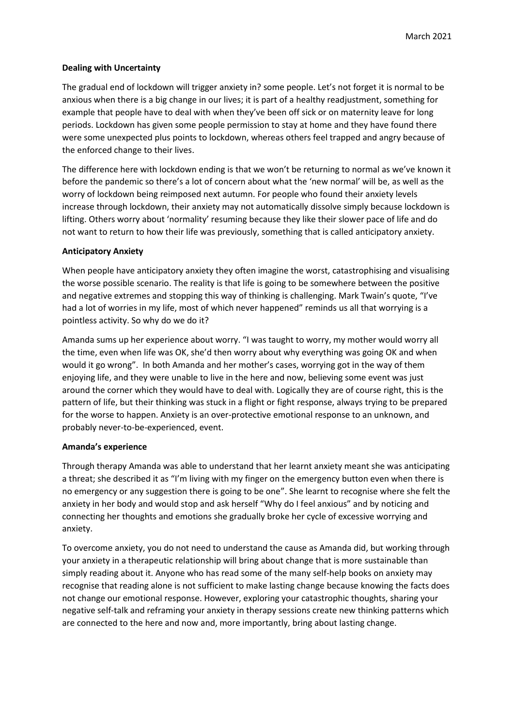# **Dealing with Uncertainty**

The gradual end of lockdown will trigger anxiety in? some people. Let's not forget it is normal to be anxious when there is a big change in our lives; it is part of a healthy readjustment, something for example that people have to deal with when they've been off sick or on maternity leave for long periods. Lockdown has given some people permission to stay at home and they have found there were some unexpected plus points to lockdown, whereas others feel trapped and angry because of the enforced change to their lives.

The difference here with lockdown ending is that we won't be returning to normal as we've known it before the pandemic so there's a lot of concern about what the 'new normal' will be, as well as the worry of lockdown being reimposed next autumn. For people who found their anxiety levels increase through lockdown, their anxiety may not automatically dissolve simply because lockdown is lifting. Others worry about 'normality' resuming because they like their slower pace of life and do not want to return to how their life was previously, something that is called anticipatory anxiety.

# **Anticipatory Anxiety**

When people have anticipatory anxiety they often imagine the worst, catastrophising and visualising the worse possible scenario. The reality is that life is going to be somewhere between the positive and negative extremes and stopping this way of thinking is challenging. Mark Twain's quote, "I've had a lot of worries in my life, most of which never happened" reminds us all that worrying is a pointless activity. So why do we do it?

Amanda sums up her experience about worry. "I was taught to worry, my mother would worry all the time, even when life was OK, she'd then worry about why everything was going OK and when would it go wrong". In both Amanda and her mother's cases, worrying got in the way of them enjoying life, and they were unable to live in the here and now, believing some event was just around the corner which they would have to deal with. Logically they are of course right, this is the pattern of life, but their thinking was stuck in a flight or fight response, always trying to be prepared for the worse to happen. Anxiety is an over-protective emotional response to an unknown, and probably never-to-be-experienced, event.

# **Amanda's experience**

Through therapy Amanda was able to understand that her learnt anxiety meant she was anticipating a threat; she described it as "I'm living with my finger on the emergency button even when there is no emergency or any suggestion there is going to be one". She learnt to recognise where she felt the anxiety in her body and would stop and ask herself "Why do I feel anxious" and by noticing and connecting her thoughts and emotions she gradually broke her cycle of excessive worrying and anxiety.

To overcome anxiety, you do not need to understand the cause as Amanda did, but working through your anxiety in a therapeutic relationship will bring about change that is more sustainable than simply reading about it. Anyone who has read some of the many self-help books on anxiety may recognise that reading alone is not sufficient to make lasting change because knowing the facts does not change our emotional response. However, exploring your catastrophic thoughts, sharing your negative self-talk and reframing your anxiety in therapy sessions create new thinking patterns which are connected to the here and now and, more importantly, bring about lasting change.